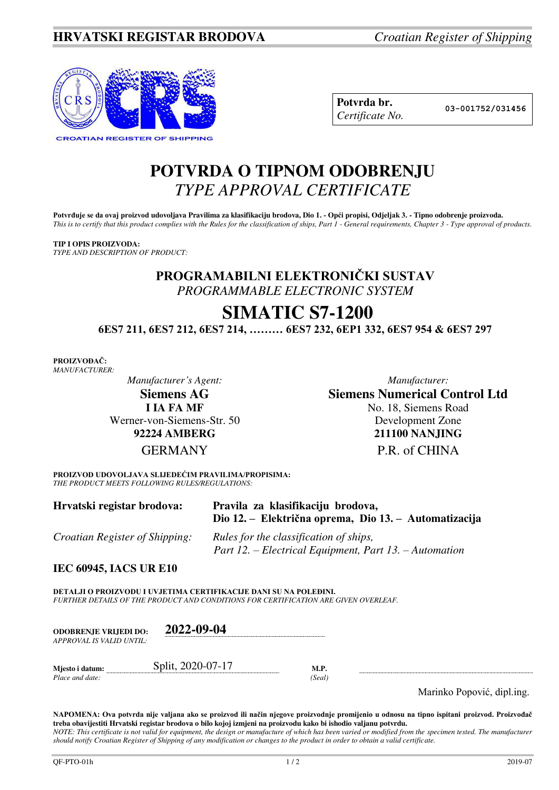

| Potvrda br.     |
|-----------------|
| Certificate No. |

**Potvrda br. 03-001752/031456**

# **POTVRDA O TIPNOM ODOBRENJU**  *TYPE APPROVAL CERTIFICATE*

Potvrđuje se da ovaj proizvod udovoljava Pravilima za klasifikaciju brodova, Dio 1. - Opći propisi, Odjeljak 3. - Tipno odobrenje proizvoda. *This is to certify that this product complies with the Rules for the classification of ships, Part 1 - General requirements, Chapter 3 - Type approval of products.* 

### **TIP I OPIS PROIZVODA:**

*TYPE AND DESCRIPTION OF PRODUCT:* 

## **PROGRAMABILNI ELEKTRONIČKI SUSTAV** *PROGRAMMABLE ELECTRONIC SYSTEM*

# **SIMATIC S7-1200**

**6ES7 211, 6ES7 212, 6ES7 214, ……… 6ES7 232, 6EP1 332, 6ES7 954 & 6ES7 297** 

**PROIZVOĐAČ:** *MANUFACTURER:*

*Manufacturer's Agent:*

**Siemens AG I IA FA MF**  Werner-von-Siemens-Str. 50 **92224 AMBERG** GERMANY

*Manufacturer:* **Siemens Numerical Control Ltd**  No. 18, Siemens Road Development Zone **211100 NANJING** P.R. of CHINA

**PROIZVOD UDOVOLJAVA SLIJEDEĆIM PRAVILIMA/PROPISIMA:** *THE PRODUCT MEETS FOLLOWING RULES/REGULATIONS:* 

| Hrvatski registar brodova:            | Pravila za klasifikaciju brodova,<br>Dio 12. – Električna oprema, Dio 13. – Automatizacija       |
|---------------------------------------|--------------------------------------------------------------------------------------------------|
| <i>Croatian Register of Shipping:</i> | Rules for the classification of ships,<br>Part 12. – Electrical Equipment, Part 13. – Automation |

### **IEC 60945, IACS UR E10**

**DETALJI O PROIZVODU I UVJETIMA CERTIFIKACIJE DANI SU NA POLEĐINI.** *FURTHER DETAILS OF THE PRODUCT AND CONDITIONS FOR CERTIFICATION ARE GIVEN OVERLEAF.* 

| <b>ODOBRENJE VRLJEDI DO:</b><br>APPROVAL IS VALID UNTIL: | 2022-09-04        |                |  |
|----------------------------------------------------------|-------------------|----------------|--|
| Mjesto i datum:<br>Place and date:                       | Split, 2020-07-17 | M.P.<br>(Seal) |  |

Marinko Popović, dipl.ing.

**NAPOMENA: Ova potvrda nije valjana ako se proizvod ili način njegove proizvodnje promijenio u odnosu na tipno ispitani proizvod. Proizvođač treba obavijestiti Hrvatski registar brodova o bilo kojoj izmjeni na proizvodu kako bi ishodio valjanu potvrdu.**  *NOTE: This certificate is not valid for equipment, the design or manufacture of which has been varied or modified from the specimen tested. The manufacturer should notify Croatian Register of Shipping of any modification or changes to the product in order to obtain a valid certificate.*